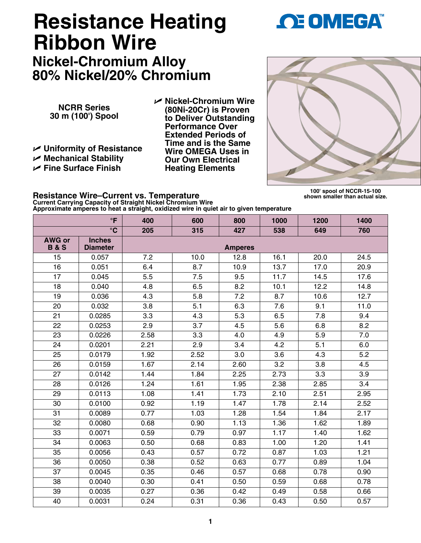## **1**

## **Resistance Heating Ribbon Wire**

**Nickel-Chromium Alloy 80% Nickel/20% Chromium**

**NCRR Series 30 m (100') Spool**

U **Uniformity of Resistance**  U **Mechanical Stability**  U **Fine Surface Finish** 

U **Nickel-Chromium Wire (80Ni-20Cr) is Proven to Deliver Outstanding Performance Over Extended Periods of Time and is the Same Wire OMEGA Uses in Our Own Electrical Heating Elements**

## **100' spool of NCCR-15-100 shown smaller than actual size.**

**Resistance Wire–Current vs. Temperature Current Carrying Capacity of Straight Nickel Chromium Wire Approximate amperes to heat a straight, oxidized wire in quiet air to given temperature**

|                                 | $\circ$ F                        | 400  | 600  | 800            | 1000 | 1200 | 1400 |
|---------------------------------|----------------------------------|------|------|----------------|------|------|------|
|                                 | $\overline{\text{C}}$            | 205  | 315  | 427            | 538  | 649  | 760  |
| <b>AWG or</b><br><b>B&amp;S</b> | <b>Inches</b><br><b>Diameter</b> |      |      | <b>Amperes</b> |      |      |      |
| 15                              | 0.057                            | 7.2  | 10.0 | 12.8           | 16.1 | 20.0 | 24.5 |
| 16                              | 0.051                            | 6.4  | 8.7  | 10.9           | 13.7 | 17.0 | 20.9 |
| 17                              | 0.045                            | 5.5  | 7.5  | 9.5            | 11.7 | 14.5 | 17.6 |
| 18                              | 0.040                            | 4.8  | 6.5  | 8.2            | 10.1 | 12.2 | 14.8 |
| 19                              | 0.036                            | 4.3  | 5.8  | 7.2            | 8.7  | 10.6 | 12.7 |
| 20                              | 0.032                            | 3.8  | 5.1  | 6.3            | 7.6  | 9.1  | 11.0 |
| 21                              | 0.0285                           | 3.3  | 4.3  | 5.3            | 6.5  | 7.8  | 9.4  |
| $\overline{22}$                 | 0.0253                           | 2.9  | 3.7  | 4.5            | 5.6  | 6.8  | 8.2  |
| 23                              | 0.0226                           | 2.58 | 3.3  | 4.0            | 4.9  | 5.9  | 7.0  |
| 24                              | 0.0201                           | 2.21 | 2.9  | 3.4            | 4.2  | 5.1  | 6.0  |
| 25                              | 0.0179                           | 1.92 | 2.52 | 3.0            | 3.6  | 4.3  | 5.2  |
| 26                              | 0.0159                           | 1.67 | 2.14 | 2.60           | 3.2  | 3.8  | 4.5  |
| 27                              | 0.0142                           | 1.44 | 1.84 | 2.25           | 2.73 | 3.3  | 3.9  |
| 28                              | 0.0126                           | 1.24 | 1.61 | 1.95           | 2.38 | 2.85 | 3.4  |
| 29                              | 0.0113                           | 1.08 | 1.41 | 1.73           | 2.10 | 2.51 | 2.95 |
| 30                              | 0.0100                           | 0.92 | 1.19 | 1.47           | 1.78 | 2.14 | 2.52 |
| 31                              | 0.0089                           | 0.77 | 1.03 | 1.28           | 1.54 | 1.84 | 2.17 |
| 32                              | 0.0080                           | 0.68 | 0.90 | 1.13           | 1.36 | 1.62 | 1.89 |
| 33                              | 0.0071                           | 0.59 | 0.79 | 0.97           | 1.17 | 1.40 | 1.62 |
| 34                              | 0.0063                           | 0.50 | 0.68 | 0.83           | 1.00 | 1.20 | 1.41 |
| 35                              | 0.0056                           | 0.43 | 0.57 | 0.72           | 0.87 | 1.03 | 1.21 |
| 36                              | 0.0050                           | 0.38 | 0.52 | 0.63           | 0.77 | 0.89 | 1.04 |
| 37                              | 0.0045                           | 0.35 | 0.46 | 0.57           | 0.68 | 0.78 | 0.90 |
| 38                              | 0.0040                           | 0.30 | 0.41 | 0.50           | 0.59 | 0.68 | 0.78 |
| 39                              | 0.0035                           | 0.27 | 0.36 | 0.42           | 0.49 | 0.58 | 0.66 |
| 40                              | 0.0031                           | 0.24 | 0.31 | 0.36           | 0.43 | 0.50 | 0.57 |